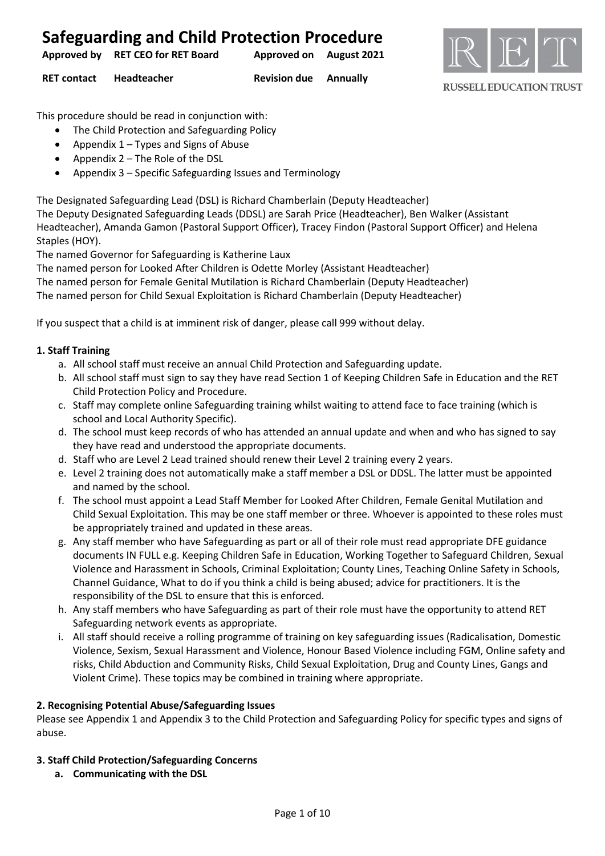| <b>Safeguarding and Child Protection Procedure</b> |                         |  |
|----------------------------------------------------|-------------------------|--|
| Approved by RET CEO for RET Board                  | Approved on August 2021 |  |



**RUSSELL EDUCATION TRUST** 

**RET contact Headteacher Revision due Annually**

This procedure should be read in conjunction with:

- The Child Protection and Safeguarding Policy
- Appendix 1 Types and Signs of Abuse
- Appendix 2 The Role of the DSL
- Appendix 3 Specific Safeguarding Issues and Terminology

The Designated Safeguarding Lead (DSL) is Richard Chamberlain (Deputy Headteacher)

The Deputy Designated Safeguarding Leads (DDSL) are Sarah Price (Headteacher), Ben Walker (Assistant Headteacher), Amanda Gamon (Pastoral Support Officer), Tracey Findon (Pastoral Support Officer) and Helena Staples (HOY).

The named Governor for Safeguarding is Katherine Laux

The named person for Looked After Children is Odette Morley (Assistant Headteacher)

The named person for Female Genital Mutilation is Richard Chamberlain (Deputy Headteacher)

The named person for Child Sexual Exploitation is Richard Chamberlain (Deputy Headteacher)

If you suspect that a child is at imminent risk of danger, please call 999 without delay.

#### **1. Staff Training**

- a. All school staff must receive an annual Child Protection and Safeguarding update.
- b. All school staff must sign to say they have read Section 1 of Keeping Children Safe in Education and the RET Child Protection Policy and Procedure.
- c. Staff may complete online Safeguarding training whilst waiting to attend face to face training (which is school and Local Authority Specific).
- d. The school must keep records of who has attended an annual update and when and who has signed to say they have read and understood the appropriate documents.
- d. Staff who are Level 2 Lead trained should renew their Level 2 training every 2 years.
- e. Level 2 training does not automatically make a staff member a DSL or DDSL. The latter must be appointed and named by the school.
- f. The school must appoint a Lead Staff Member for Looked After Children, Female Genital Mutilation and Child Sexual Exploitation. This may be one staff member or three. Whoever is appointed to these roles must be appropriately trained and updated in these areas.
- g. Any staff member who have Safeguarding as part or all of their role must read appropriate DFE guidance documents IN FULL e.g. Keeping Children Safe in Education, Working Together to Safeguard Children, Sexual Violence and Harassment in Schools, Criminal Exploitation; County Lines, Teaching Online Safety in Schools, Channel Guidance, What to do if you think a child is being abused; advice for practitioners. It is the responsibility of the DSL to ensure that this is enforced.
- h. Any staff members who have Safeguarding as part of their role must have the opportunity to attend RET Safeguarding network events as appropriate.
- i. All staff should receive a rolling programme of training on key safeguarding issues (Radicalisation, Domestic Violence, Sexism, Sexual Harassment and Violence, Honour Based Violence including FGM, Online safety and risks, Child Abduction and Community Risks, Child Sexual Exploitation, Drug and County Lines, Gangs and Violent Crime). These topics may be combined in training where appropriate.

#### **2. Recognising Potential Abuse/Safeguarding Issues**

Please see Appendix 1 and Appendix 3 to the Child Protection and Safeguarding Policy for specific types and signs of abuse.

#### **3. Staff Child Protection/Safeguarding Concerns**

**a. Communicating with the DSL**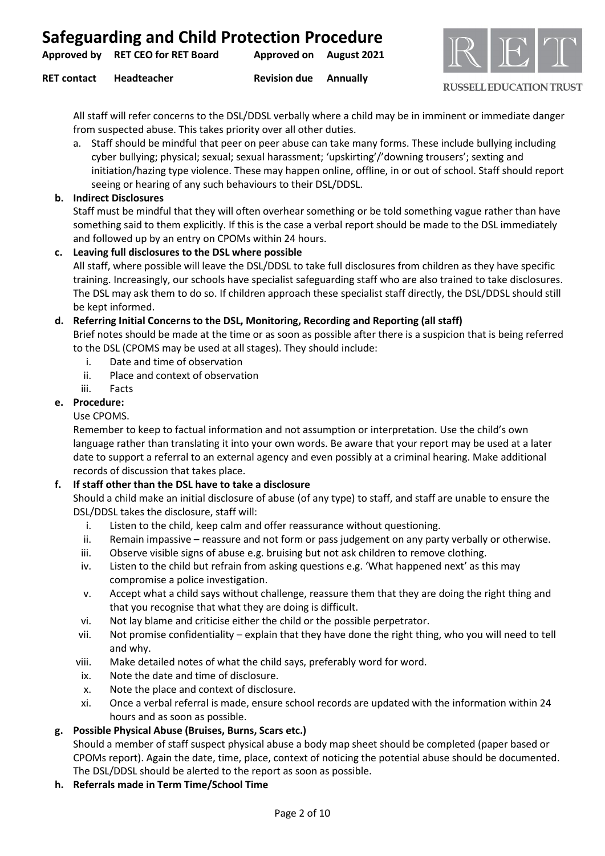| <b>Safeguarding and Child Protection Procedure</b> |  |  |  |
|----------------------------------------------------|--|--|--|
|----------------------------------------------------|--|--|--|

| Approved by | <b>RET CEO for RET Board</b> | <b>Approved on August 2021</b> |  |
|-------------|------------------------------|--------------------------------|--|
|             |                              |                                |  |

**RET contact Headteacher Revision due Annually**



#### **RUSSELL EDUCATION TRUST**

All staff will refer concerns to the DSL/DDSL verbally where a child may be in imminent or immediate danger from suspected abuse. This takes priority over all other duties.

- a. Staff should be mindful that peer on peer abuse can take many forms. These include bullying including cyber bullying; physical; sexual; sexual harassment; 'upskirting'/'downing trousers'; sexting and initiation/hazing type violence. These may happen online, offline, in or out of school. Staff should report seeing or hearing of any such behaviours to their DSL/DDSL.
- **b. Indirect Disclosures**

Staff must be mindful that they will often overhear something or be told something vague rather than have something said to them explicitly. If this is the case a verbal report should be made to the DSL immediately and followed up by an entry on CPOMs within 24 hours.

**c. Leaving full disclosures to the DSL where possible** All staff, where possible will leave the DSL/DDSL to take full disclosures from children as they have specific training. Increasingly, our schools have specialist safeguarding staff who are also trained to take disclosures. The DSL may ask them to do so. If children approach these specialist staff directly, the DSL/DDSL should still be kept informed.

#### **d. Referring Initial Concerns to the DSL, Monitoring, Recording and Reporting (all staff)**

Brief notes should be made at the time or as soon as possible after there is a suspicion that is being referred to the DSL (CPOMS may be used at all stages). They should include:

- i. Date and time of observation
- ii. Place and context of observation
- iii. Facts

#### **e. Procedure:**

#### Use CPOMS.

Remember to keep to factual information and not assumption or interpretation. Use the child's own language rather than translating it into your own words. Be aware that your report may be used at a later date to support a referral to an external agency and even possibly at a criminal hearing. Make additional records of discussion that takes place.

#### **f. If staff other than the DSL have to take a disclosure**

Should a child make an initial disclosure of abuse (of any type) to staff, and staff are unable to ensure the DSL/DDSL takes the disclosure, staff will:

- i. Listen to the child, keep calm and offer reassurance without questioning.
- ii. Remain impassive reassure and not form or pass judgement on any party verbally or otherwise.
- iii. Observe visible signs of abuse e.g. bruising but not ask children to remove clothing.
- iv. Listen to the child but refrain from asking questions e.g. 'What happened next' as this may compromise a police investigation.
- v. Accept what a child says without challenge, reassure them that they are doing the right thing and that you recognise that what they are doing is difficult.
- vi. Not lay blame and criticise either the child or the possible perpetrator.
- vii. Not promise confidentiality explain that they have done the right thing, who you will need to tell and why.
- viii. Make detailed notes of what the child says, preferably word for word.
- ix. Note the date and time of disclosure.
- x. Note the place and context of disclosure.
- xi. Once a verbal referral is made, ensure school records are updated with the information within 24 hours and as soon as possible.

#### **g. Possible Physical Abuse (Bruises, Burns, Scars etc.)**

Should a member of staff suspect physical abuse a body map sheet should be completed (paper based or CPOMs report). Again the date, time, place, context of noticing the potential abuse should be documented. The DSL/DDSL should be alerted to the report as soon as possible.

#### **h. Referrals made in Term Time/School Time**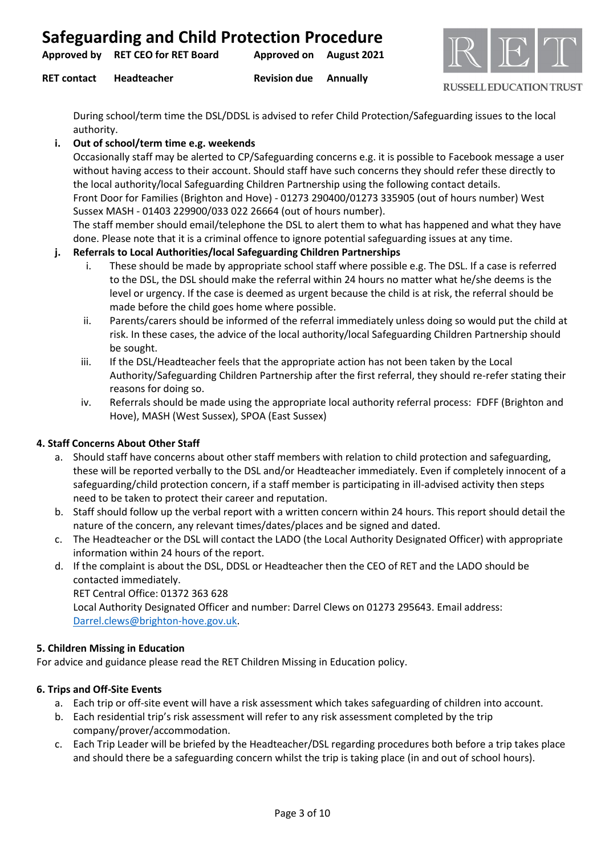**RET contact Headteacher Revision due Annually**



**RUSSELL EDUCATION TRUST** 

During school/term time the DSL/DDSL is advised to refer Child Protection/Safeguarding issues to the local authority.

#### **i. Out of school/term time e.g. weekends**

Occasionally staff may be alerted to CP/Safeguarding concerns e.g. it is possible to Facebook message a user without having access to their account. Should staff have such concerns they should refer these directly to the local authority/local Safeguarding Children Partnership using the following contact details. Front Door for Families (Brighton and Hove) - 01273 290400/01273 335905 (out of hours number) West

Sussex MASH - 01403 229900/033 022 26664 (out of hours number).

The staff member should email/telephone the DSL to alert them to what has happened and what they have done. Please note that it is a criminal offence to ignore potential safeguarding issues at any time.

#### **j. Referrals to Local Authorities/local Safeguarding Children Partnerships**

- i. These should be made by appropriate school staff where possible e.g. The DSL. If a case is referred to the DSL, the DSL should make the referral within 24 hours no matter what he/she deems is the level or urgency. If the case is deemed as urgent because the child is at risk, the referral should be made before the child goes home where possible.
- ii. Parents/carers should be informed of the referral immediately unless doing so would put the child at risk. In these cases, the advice of the local authority/local Safeguarding Children Partnership should be sought.
- iii. If the DSL/Headteacher feels that the appropriate action has not been taken by the Local Authority/Safeguarding Children Partnership after the first referral, they should re-refer stating their reasons for doing so.
- iv. Referrals should be made using the appropriate local authority referral process: FDFF (Brighton and Hove), MASH (West Sussex), SPOA (East Sussex)

#### **4. Staff Concerns About Other Staff**

- a. Should staff have concerns about other staff members with relation to child protection and safeguarding, these will be reported verbally to the DSL and/or Headteacher immediately. Even if completely innocent of a safeguarding/child protection concern, if a staff member is participating in ill-advised activity then steps need to be taken to protect their career and reputation.
- b. Staff should follow up the verbal report with a written concern within 24 hours. This report should detail the nature of the concern, any relevant times/dates/places and be signed and dated.
- c. The Headteacher or the DSL will contact the LADO (the Local Authority Designated Officer) with appropriate information within 24 hours of the report.
- d. If the complaint is about the DSL, DDSL or Headteacher then the CEO of RET and the LADO should be contacted immediately.

RET Central Office: 01372 363 628 Local Authority Designated Officer and number: Darrel Clews on 01273 295643. Email address: [Darrel.clews@brighton-hove.gov.uk.](mailto:Darrel.clews@brighton-hove.gov.uk)

#### **5. Children Missing in Education**

For advice and guidance please read the RET Children Missing in Education policy.

#### **6. Trips and Off-Site Events**

- a. Each trip or off-site event will have a risk assessment which takes safeguarding of children into account.
- b. Each residential trip's risk assessment will refer to any risk assessment completed by the trip company/prover/accommodation.
- c. Each Trip Leader will be briefed by the Headteacher/DSL regarding procedures both before a trip takes place and should there be a safeguarding concern whilst the trip is taking place (in and out of school hours).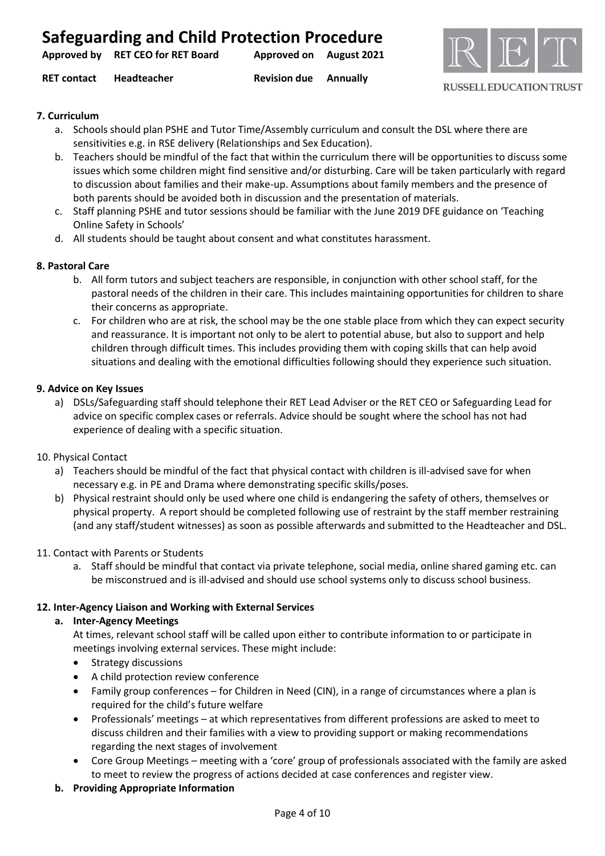|                                   | <b>Safeguarding and Child Protection Procedure</b> |  |
|-----------------------------------|----------------------------------------------------|--|
| Approved by RET CEO for RET Board | Approved on August 2021                            |  |

**RET contact Headteacher Revision due Annually**

**RUSSELL EDUCATION TRUST** 

#### **7. Curriculum**

- a. Schools should plan PSHE and Tutor Time/Assembly curriculum and consult the DSL where there are sensitivities e.g. in RSE delivery (Relationships and Sex Education).
- b. Teachers should be mindful of the fact that within the curriculum there will be opportunities to discuss some issues which some children might find sensitive and/or disturbing. Care will be taken particularly with regard to discussion about families and their make-up. Assumptions about family members and the presence of both parents should be avoided both in discussion and the presentation of materials.
- c. Staff planning PSHE and tutor sessions should be familiar with the June 2019 DFE guidance on 'Teaching Online Safety in Schools'
- d. All students should be taught about consent and what constitutes harassment.

#### **8. Pastoral Care**

- b. All form tutors and subject teachers are responsible, in conjunction with other school staff, for the pastoral needs of the children in their care. This includes maintaining opportunities for children to share their concerns as appropriate.
- c. For children who are at risk, the school may be the one stable place from which they can expect security and reassurance. It is important not only to be alert to potential abuse, but also to support and help children through difficult times. This includes providing them with coping skills that can help avoid situations and dealing with the emotional difficulties following should they experience such situation.

#### **9. Advice on Key Issues**

a) DSLs/Safeguarding staff should telephone their RET Lead Adviser or the RET CEO or Safeguarding Lead for advice on specific complex cases or referrals. Advice should be sought where the school has not had experience of dealing with a specific situation.

#### 10. Physical Contact

- a) Teachers should be mindful of the fact that physical contact with children is ill-advised save for when necessary e.g. in PE and Drama where demonstrating specific skills/poses.
- b) Physical restraint should only be used where one child is endangering the safety of others, themselves or physical property. A report should be completed following use of restraint by the staff member restraining (and any staff/student witnesses) as soon as possible afterwards and submitted to the Headteacher and DSL.

#### 11. Contact with Parents or Students

a. Staff should be mindful that contact via private telephone, social media, online shared gaming etc. can be misconstrued and is ill-advised and should use school systems only to discuss school business.

#### **12. Inter-Agency Liaison and Working with External Services**

#### **a. Inter-Agency Meetings**

At times, relevant school staff will be called upon either to contribute information to or participate in meetings involving external services. These might include:

- Strategy discussions
- A child protection review conference
- Family group conferences for Children in Need (CIN), in a range of circumstances where a plan is required for the child's future welfare
- Professionals' meetings at which representatives from different professions are asked to meet to discuss children and their families with a view to providing support or making recommendations regarding the next stages of involvement
- Core Group Meetings meeting with a 'core' group of professionals associated with the family are asked to meet to review the progress of actions decided at case conferences and register view.

#### **b. Providing Appropriate Information**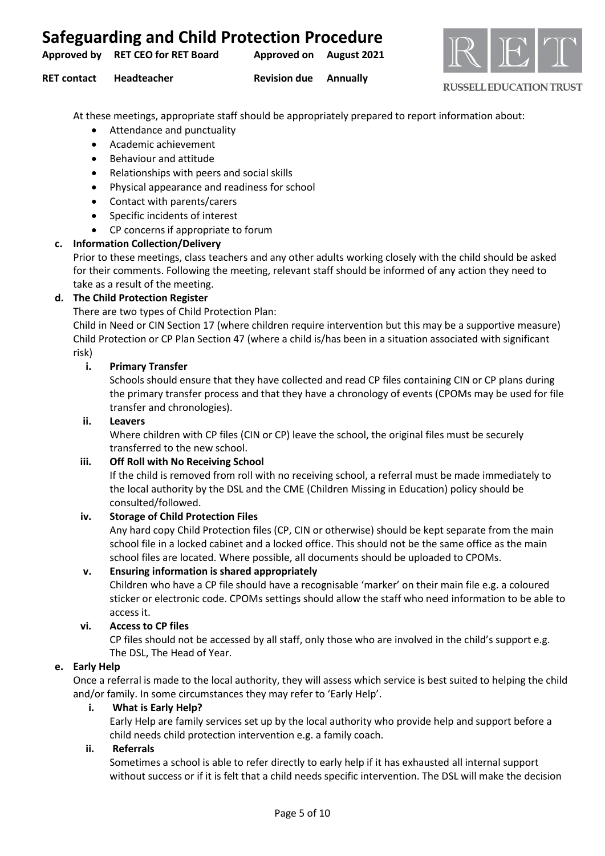| <b>Safeguarding and Child Protection Procedure</b> |                         |              |
|----------------------------------------------------|-------------------------|--------------|
| Approved by RET CEO for RET Board                  | Approved on August 2021 | $\mathbb{R}$ |



**RET contact Headteacher Revision due Annually**

**RUSSELL EDUCATION TRUST** 

At these meetings, appropriate staff should be appropriately prepared to report information about:

- Attendance and punctuality
- Academic achievement
- Behaviour and attitude
- Relationships with peers and social skills
- Physical appearance and readiness for school
- Contact with parents/carers
- Specific incidents of interest
- CP concerns if appropriate to forum

# **c. Information Collection/Delivery**

Prior to these meetings, class teachers and any other adults working closely with the child should be asked for their comments. Following the meeting, relevant staff should be informed of any action they need to take as a result of the meeting.

# **d. The Child Protection Register**

There are two types of Child Protection Plan:

Child in Need or CIN Section 17 (where children require intervention but this may be a supportive measure) Child Protection or CP Plan Section 47 (where a child is/has been in a situation associated with significant risk)

# **i. Primary Transfer**

Schools should ensure that they have collected and read CP files containing CIN or CP plans during the primary transfer process and that they have a chronology of events (CPOMs may be used for file transfer and chronologies).

#### **ii. Leavers**

Where children with CP files (CIN or CP) leave the school, the original files must be securely transferred to the new school.

#### **iii. Off Roll with No Receiving School**

If the child is removed from roll with no receiving school, a referral must be made immediately to the local authority by the DSL and the CME (Children Missing in Education) policy should be consulted/followed.

#### **iv. Storage of Child Protection Files**

Any hard copy Child Protection files (CP, CIN or otherwise) should be kept separate from the main school file in a locked cabinet and a locked office. This should not be the same office as the main school files are located. Where possible, all documents should be uploaded to CPOMs.

## **v. Ensuring information is shared appropriately**

Children who have a CP file should have a recognisable 'marker' on their main file e.g. a coloured sticker or electronic code. CPOMs settings should allow the staff who need information to be able to access it.

#### **vi. Access to CP files**

CP files should not be accessed by all staff, only those who are involved in the child's support e.g. The DSL, The Head of Year.

#### **e. Early Help**

Once a referral is made to the local authority, they will assess which service is best suited to helping the child and/or family. In some circumstances they may refer to 'Early Help'.

#### **i. What is Early Help?**

Early Help are family services set up by the local authority who provide help and support before a child needs child protection intervention e.g. a family coach.

#### **ii. Referrals**

Sometimes a school is able to refer directly to early help if it has exhausted all internal support without success or if it is felt that a child needs specific intervention. The DSL will make the decision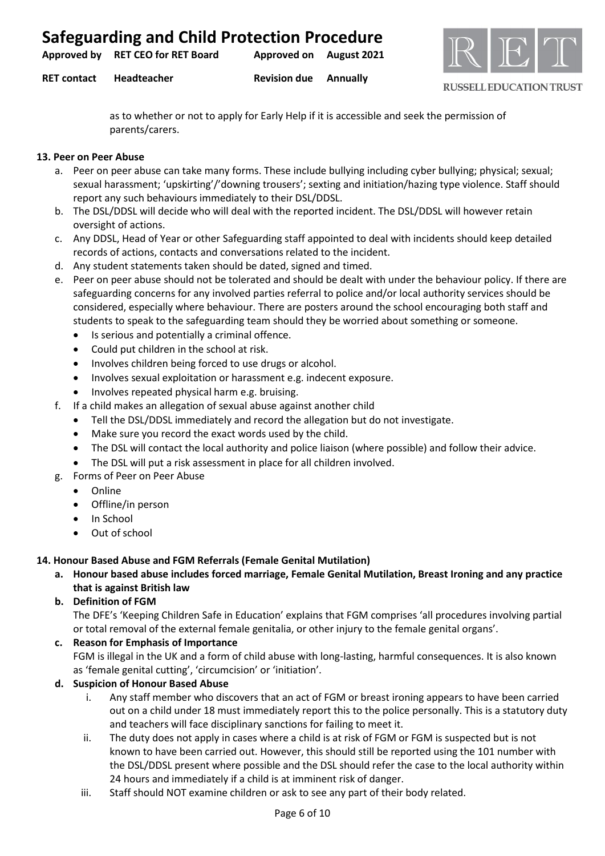| <b>Safeguarding and Child Protection Procedure</b> |  |  |  |
|----------------------------------------------------|--|--|--|
|----------------------------------------------------|--|--|--|

**Approved by RET CEO for RET Board Approved on August 2021**

**RET contact Headteacher Revision due Annually**



**RUSSELL EDUCATION TRUST** 

as to whether or not to apply for Early Help if it is accessible and seek the permission of parents/carers.

#### **13. Peer on Peer Abuse**

- a. Peer on peer abuse can take many forms. These include bullying including cyber bullying; physical; sexual; sexual harassment; 'upskirting'/'downing trousers'; sexting and initiation/hazing type violence. Staff should report any such behaviours immediately to their DSL/DDSL.
- b. The DSL/DDSL will decide who will deal with the reported incident. The DSL/DDSL will however retain oversight of actions.
- c. Any DDSL, Head of Year or other Safeguarding staff appointed to deal with incidents should keep detailed records of actions, contacts and conversations related to the incident.
- d. Any student statements taken should be dated, signed and timed.
- e. Peer on peer abuse should not be tolerated and should be dealt with under the behaviour policy. If there are safeguarding concerns for any involved parties referral to police and/or local authority services should be considered, especially where behaviour. There are posters around the school encouraging both staff and students to speak to the safeguarding team should they be worried about something or someone.
	- Is serious and potentially a criminal offence.
	- Could put children in the school at risk.
	- Involves children being forced to use drugs or alcohol.
	- Involves sexual exploitation or harassment e.g. indecent exposure.
	- Involves repeated physical harm e.g. bruising.
- f. If a child makes an allegation of sexual abuse against another child
	- Tell the DSL/DDSL immediately and record the allegation but do not investigate.
	- Make sure you record the exact words used by the child.
	- The DSL will contact the local authority and police liaison (where possible) and follow their advice.
	- The DSL will put a risk assessment in place for all children involved.
- g. Forms of Peer on Peer Abuse
	- Online
	- Offline/in person
	- In School
	- Out of school

#### **14. Honour Based Abuse and FGM Referrals (Female Genital Mutilation)**

- **a. Honour based abuse includes forced marriage, Female Genital Mutilation, Breast Ironing and any practice that is against British law**
- **b. Definition of FGM**

The DFE's 'Keeping Children Safe in Education' explains that FGM comprises 'all procedures involving partial or total removal of the external female genitalia, or other injury to the female genital organs'.

#### **c. Reason for Emphasis of Importance**

FGM is illegal in the UK and a form of child abuse with long-lasting, harmful consequences. It is also known as 'female genital cutting', 'circumcision' or 'initiation'.

## **d. Suspicion of Honour Based Abuse**

- i. Any staff member who discovers that an act of FGM or breast ironing appears to have been carried out on a child under 18 must immediately report this to the police personally. This is a statutory duty and teachers will face disciplinary sanctions for failing to meet it.
- ii. The duty does not apply in cases where a child is at risk of FGM or FGM is suspected but is not known to have been carried out. However, this should still be reported using the 101 number with the DSL/DDSL present where possible and the DSL should refer the case to the local authority within 24 hours and immediately if a child is at imminent risk of danger.
- iii. Staff should NOT examine children or ask to see any part of their body related.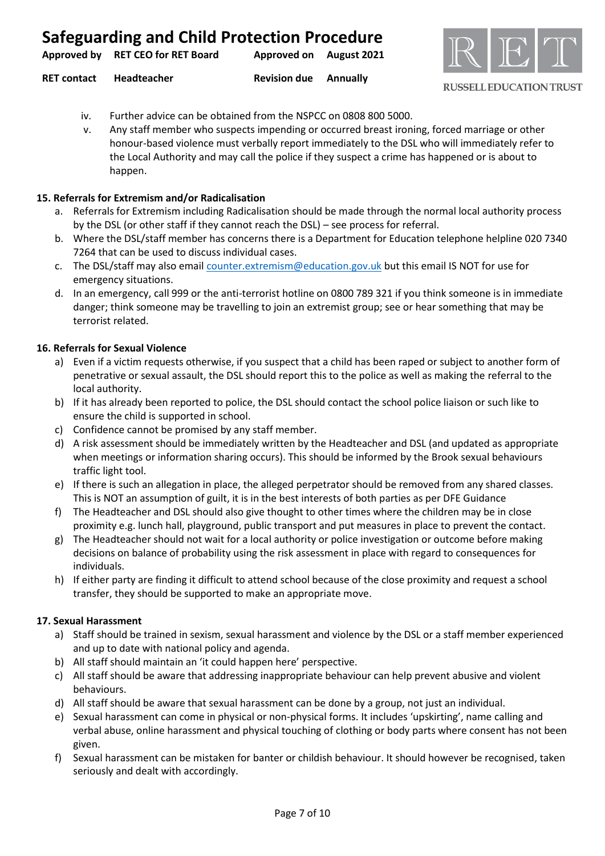|                                   | <b>Safeguarding and Child Protection Procedure</b> |  |
|-----------------------------------|----------------------------------------------------|--|
| Approved by RET CEO for RET Board | Approved on August 2021                            |  |



- **RET contact Headteacher Revision due Annually**
	- iv. Further advice can be obtained from the NSPCC on 0808 800 5000.
	- v. Any staff member who suspects impending or occurred breast ironing, forced marriage or other honour-based violence must verbally report immediately to the DSL who will immediately refer to the Local Authority and may call the police if they suspect a crime has happened or is about to happen.

#### **15. Referrals for Extremism and/or Radicalisation**

- a. Referrals for Extremism including Radicalisation should be made through the normal local authority process by the DSL (or other staff if they cannot reach the DSL) – see process for referral.
- b. Where the DSL/staff member has concerns there is a Department for Education telephone helpline 020 7340 7264 that can be used to discuss individual cases.
- c. The DSL/staff may also email [counter.extremism@education.gov.uk](mailto:counter.extremism@education.gov.uk) but this email IS NOT for use for emergency situations.
- d. In an emergency, call 999 or the anti-terrorist hotline on 0800 789 321 if you think someone is in immediate danger; think someone may be travelling to join an extremist group; see or hear something that may be terrorist related.

#### **16. Referrals for Sexual Violence**

- a) Even if a victim requests otherwise, if you suspect that a child has been raped or subject to another form of penetrative or sexual assault, the DSL should report this to the police as well as making the referral to the local authority.
- b) If it has already been reported to police, the DSL should contact the school police liaison or such like to ensure the child is supported in school.
- c) Confidence cannot be promised by any staff member.
- d) A risk assessment should be immediately written by the Headteacher and DSL (and updated as appropriate when meetings or information sharing occurs). This should be informed by the Brook sexual behaviours traffic light tool.
- e) If there is such an allegation in place, the alleged perpetrator should be removed from any shared classes. This is NOT an assumption of guilt, it is in the best interests of both parties as per DFE Guidance
- f) The Headteacher and DSL should also give thought to other times where the children may be in close proximity e.g. lunch hall, playground, public transport and put measures in place to prevent the contact.
- g) The Headteacher should not wait for a local authority or police investigation or outcome before making decisions on balance of probability using the risk assessment in place with regard to consequences for individuals.
- h) If either party are finding it difficult to attend school because of the close proximity and request a school transfer, they should be supported to make an appropriate move.

#### **17. Sexual Harassment**

- a) Staff should be trained in sexism, sexual harassment and violence by the DSL or a staff member experienced and up to date with national policy and agenda.
- b) All staff should maintain an 'it could happen here' perspective.
- c) All staff should be aware that addressing inappropriate behaviour can help prevent abusive and violent behaviours.
- d) All staff should be aware that sexual harassment can be done by a group, not just an individual.
- e) Sexual harassment can come in physical or non-physical forms. It includes 'upskirting', name calling and verbal abuse, online harassment and physical touching of clothing or body parts where consent has not been given.
- f) Sexual harassment can be mistaken for banter or childish behaviour. It should however be recognised, taken seriously and dealt with accordingly.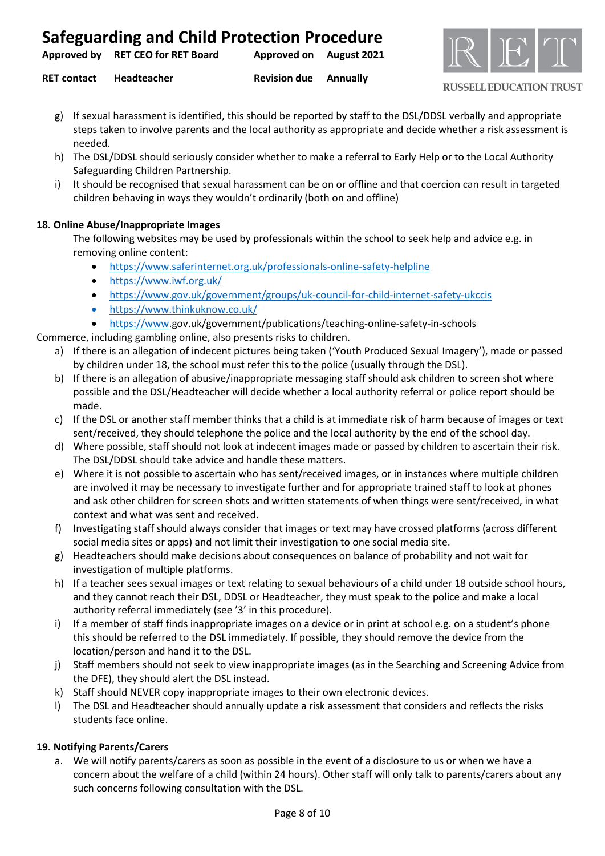**Approved by RET CEO for RET Board Approved on August 2021**

**RET contact Headteacher Revision due Annually**



**RUSSELL EDUCATION TRUST** 

- g) If sexual harassment is identified, this should be reported by staff to the DSL/DDSL verbally and appropriate steps taken to involve parents and the local authority as appropriate and decide whether a risk assessment is needed.
- h) The DSL/DDSL should seriously consider whether to make a referral to Early Help or to the Local Authority Safeguarding Children Partnership.
- i) It should be recognised that sexual harassment can be on or offline and that coercion can result in targeted children behaving in ways they wouldn't ordinarily (both on and offline)

#### **18. Online Abuse/Inappropriate Images**

The following websites may be used by professionals within the school to seek help and advice e.g. in removing online content:

- <https://www.saferinternet.org.uk/professionals-online-safety-helpline>
- <https://www.iwf.org.uk/>
- <https://www.gov.uk/government/groups/uk-council-for-child-internet-safety-ukccis>
- <https://www.thinkuknow.co.uk/>
- [https://www.](https://www/)gov.uk/government/publications/teaching-online-safety-in-schools

Commerce, including gambling online, also presents risks to children.

- a) If there is an allegation of indecent pictures being taken ('Youth Produced Sexual Imagery'), made or passed by children under 18, the school must refer this to the police (usually through the DSL).
- b) If there is an allegation of abusive/inappropriate messaging staff should ask children to screen shot where possible and the DSL/Headteacher will decide whether a local authority referral or police report should be made.
- c) If the DSL or another staff member thinks that a child is at immediate risk of harm because of images or text sent/received, they should telephone the police and the local authority by the end of the school day.
- d) Where possible, staff should not look at indecent images made or passed by children to ascertain their risk. The DSL/DDSL should take advice and handle these matters.
- e) Where it is not possible to ascertain who has sent/received images, or in instances where multiple children are involved it may be necessary to investigate further and for appropriate trained staff to look at phones and ask other children for screen shots and written statements of when things were sent/received, in what context and what was sent and received.
- f) Investigating staff should always consider that images or text may have crossed platforms (across different social media sites or apps) and not limit their investigation to one social media site.
- g) Headteachers should make decisions about consequences on balance of probability and not wait for investigation of multiple platforms.
- h) If a teacher sees sexual images or text relating to sexual behaviours of a child under 18 outside school hours, and they cannot reach their DSL, DDSL or Headteacher, they must speak to the police and make a local authority referral immediately (see '3' in this procedure).
- i) If a member of staff finds inappropriate images on a device or in print at school e.g. on a student's phone this should be referred to the DSL immediately. If possible, they should remove the device from the location/person and hand it to the DSL.
- j) Staff members should not seek to view inappropriate images (as in the Searching and Screening Advice from the DFE), they should alert the DSL instead.
- k) Staff should NEVER copy inappropriate images to their own electronic devices.
- l) The DSL and Headteacher should annually update a risk assessment that considers and reflects the risks students face online.

#### **19. Notifying Parents/Carers**

a. We will notify parents/carers as soon as possible in the event of a disclosure to us or when we have a concern about the welfare of a child (within 24 hours). Other staff will only talk to parents/carers about any such concerns following consultation with the DSL.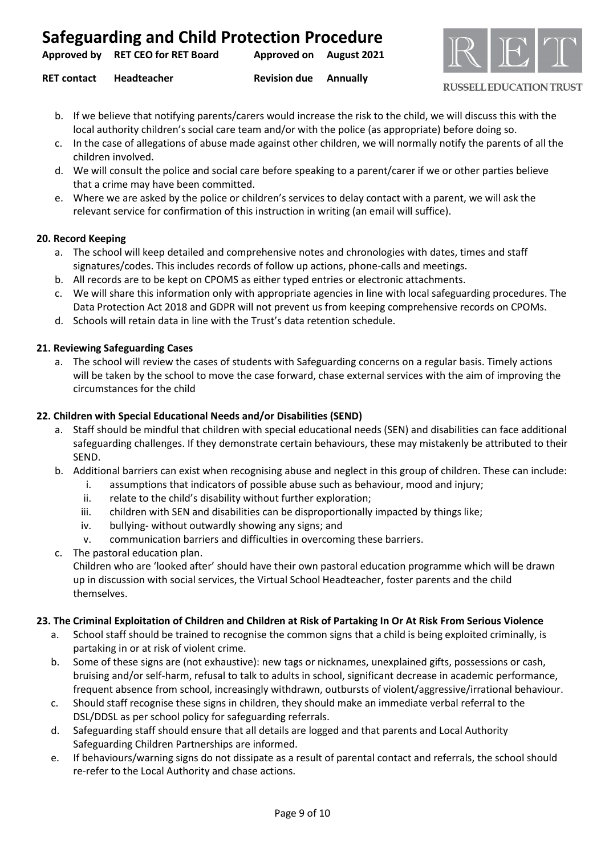| Approved by RET CEO for RET Board | Approved on August 2021 |  |
|-----------------------------------|-------------------------|--|
|                                   |                         |  |

**RET contact Headteacher Revision due Annually**



**RUSSELL EDUCATION TRUST** 

- b. If we believe that notifying parents/carers would increase the risk to the child, we will discuss this with the local authority children's social care team and/or with the police (as appropriate) before doing so.
- c. In the case of allegations of abuse made against other children, we will normally notify the parents of all the children involved.
- d. We will consult the police and social care before speaking to a parent/carer if we or other parties believe that a crime may have been committed.
- e. Where we are asked by the police or children's services to delay contact with a parent, we will ask the relevant service for confirmation of this instruction in writing (an email will suffice).

#### **20. Record Keeping**

- a. The school will keep detailed and comprehensive notes and chronologies with dates, times and staff signatures/codes. This includes records of follow up actions, phone-calls and meetings.
- b. All records are to be kept on CPOMS as either typed entries or electronic attachments.
- c. We will share this information only with appropriate agencies in line with local safeguarding procedures. The Data Protection Act 2018 and GDPR will not prevent us from keeping comprehensive records on CPOMs.
- d. Schools will retain data in line with the Trust's data retention schedule.

#### **21. Reviewing Safeguarding Cases**

a. The school will review the cases of students with Safeguarding concerns on a regular basis. Timely actions will be taken by the school to move the case forward, chase external services with the aim of improving the circumstances for the child

#### **22. Children with Special Educational Needs and/or Disabilities (SEND)**

- a. Staff should be mindful that children with special educational needs (SEN) and disabilities can face additional safeguarding challenges. If they demonstrate certain behaviours, these may mistakenly be attributed to their SEND.
- b. Additional barriers can exist when recognising abuse and neglect in this group of children. These can include:
	- i. assumptions that indicators of possible abuse such as behaviour, mood and injury;
	- ii. relate to the child's disability without further exploration;
	- iii. children with SEN and disabilities can be disproportionally impacted by things like;
	- iv. bullying- without outwardly showing any signs; and
	- v. communication barriers and difficulties in overcoming these barriers.
- c. The pastoral education plan.

Children who are 'looked after' should have their own pastoral education programme which will be drawn up in discussion with social services, the Virtual School Headteacher, foster parents and the child themselves.

#### **23. The Criminal Exploitation of Children and Children at Risk of Partaking In Or At Risk From Serious Violence**

- a. School staff should be trained to recognise the common signs that a child is being exploited criminally, is partaking in or at risk of violent crime.
- b. Some of these signs are (not exhaustive): new tags or nicknames, unexplained gifts, possessions or cash, bruising and/or self-harm, refusal to talk to adults in school, significant decrease in academic performance, frequent absence from school, increasingly withdrawn, outbursts of violent/aggressive/irrational behaviour.
- c. Should staff recognise these signs in children, they should make an immediate verbal referral to the DSL/DDSL as per school policy for safeguarding referrals.
- d. Safeguarding staff should ensure that all details are logged and that parents and Local Authority Safeguarding Children Partnerships are informed.
- e. If behaviours/warning signs do not dissipate as a result of parental contact and referrals, the school should re-refer to the Local Authority and chase actions.